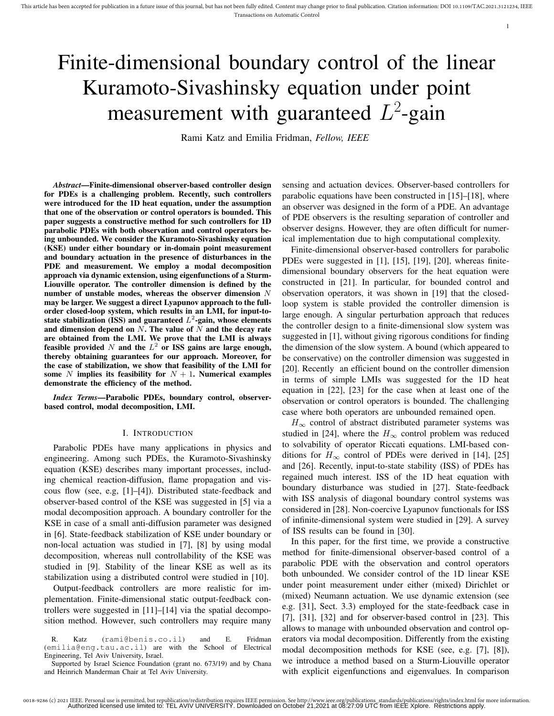# Finite-dimensional boundary control of the linear Kuramoto-Sivashinsky equation under point measurement with guaranteed  $L^2$ -gain

Rami Katz and Emilia Fridman, *Fellow, IEEE*

*Abstract*—Finite-dimensional observer-based controller design for PDEs is a challenging problem. Recently, such controllers were introduced for the 1D heat equation, under the assumption that one of the observation or control operators is bounded. This paper suggests a constructive method for such controllers for 1D parabolic PDEs with both observation and control operators being unbounded. We consider the Kuramoto-Sivashinsky equation (KSE) under either boundary or in-domain point measurement and boundary actuation in the presence of disturbances in the PDE and measurement. We employ a modal decomposition approach via dynamic extension, using eigenfunctions of a Sturm-Liouville operator. The controller dimension is defined by the number of unstable modes, whereas the observer dimension  $N$ may be larger. We suggest a direct Lyapunov approach to the fullorder closed-loop system, which results in an LMI, for input-tostate stabilization (ISS) and guaranteed  $L^2$ -gain, whose elements and dimension depend on  $N$ . The value of  $\overline{N}$  and the decay rate are obtained from the LMI. We prove that the LMI is always feasible provided N and the  $L^2$  or ISS gains are large enough, thereby obtaining guarantees for our approach. Moreover, for the case of stabilization, we show that feasibility of the LMI for some N implies its feasibility for  $N + 1$ . Numerical examples demonstrate the efficiency of the method.

*Index Terms*—Parabolic PDEs, boundary control, observerbased control, modal decomposition, LMI.

#### I. INTRODUCTION

Parabolic PDEs have many applications in physics and engineering. Among such PDEs, the Kuramoto-Sivashinsky equation (KSE) describes many important processes, including chemical reaction-diffusion, flame propagation and viscous flow (see, e.g, [1]–[4]). Distributed state-feedback and observer-based control of the KSE was suggested in [5] via a modal decomposition approach. A boundary controller for the KSE in case of a small anti-diffusion parameter was designed in [6]. State-feedback stabilization of KSE under boundary or non-local actuation was studied in [7], [8] by using modal decomposition, whereas null controllability of the KSE was studied in [9]. Stability of the linear KSE as well as its stabilization using a distributed control were studied in [10].

Output-feedback controllers are more realistic for implementation. Finite-dimensional static output-feedback controllers were suggested in [11]–[14] via the spatial decomposition method. However, such controllers may require many

R. Katz (rami@benis.co.il) and E. Fridman (emilia@eng.tau.ac.il) are with the School of Electrical Engineering, Tel Aviv University, Israel.

Supported by Israel Science Foundation (grant no. 673/19) and by Chana and Heinrich Manderman Chair at Tel Aviv University.

sensing and actuation devices. Observer-based controllers for parabolic equations have been constructed in [15]–[18], where an observer was designed in the form of a PDE. An advantage of PDE observers is the resulting separation of controller and observer designs. However, they are often difficult for numerical implementation due to high computational complexity.

1

Finite-dimensional observer-based controllers for parabolic PDEs were suggested in [1], [15], [19], [20], whereas finitedimensional boundary observers for the heat equation were constructed in [21]. In particular, for bounded control and observation operators, it was shown in [19] that the closedloop system is stable provided the controller dimension is large enough. A singular perturbation approach that reduces the controller design to a finite-dimensional slow system was suggested in [1], without giving rigorous conditions for finding the dimension of the slow system. A bound (which appeared to be conservative) on the controller dimension was suggested in [20]. Recently an efficient bound on the controller dimension in terms of simple LMIs was suggested for the 1D heat equation in [22], [23] for the case when at least one of the observation or control operators is bounded. The challenging case where both operators are unbounded remained open.

 $H_{\infty}$  control of abstract distributed parameter systems was studied in [24], where the  $H_{\infty}$  control problem was reduced to solvability of operator Riccati equations. LMI-based conditions for  $H_{\infty}$  control of PDEs were derived in [14], [25] and [26]. Recently, input-to-state stability (ISS) of PDEs has regained much interest. ISS of the 1D heat equation with boundary disturbance was studied in [27]. State-feedback with ISS analysis of diagonal boundary control systems was considered in [28]. Non-coercive Lyapunov functionals for ISS of infinite-dimensional system were studied in [29]. A survey of ISS results can be found in [30].

In this paper, for the first time, we provide a constructive method for finite-dimensional observer-based control of a parabolic PDE with the observation and control operators both unbounded. We consider control of the 1D linear KSE under point measurement under either (mixed) Dirichlet or (mixed) Neumann actuation. We use dynamic extension (see e.g. [31], Sect. 3.3) employed for the state-feedback case in [7], [31], [32] and for observer-based control in [23]. This allows to manage with unbounded observation and control operators via modal decomposition. Differently from the existing modal decomposition methods for KSE (see, e.g. [7], [8]), we introduce a method based on a Sturm-Liouville operator with explicit eigenfunctions and eigenvalues. In comparison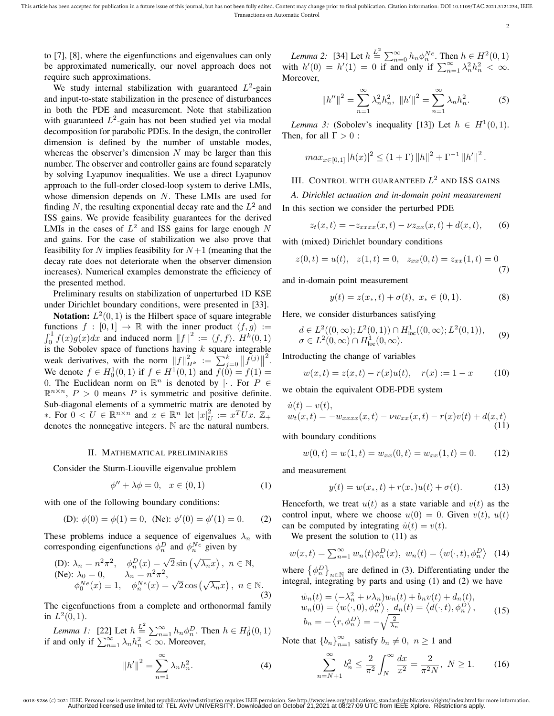This article has been accepted for publication in a future issue of this journal, but has not been fully edited. Content may change prior to final publication. Citation information: DOI 10.1109/TAC.2021.3121234, IEEE Transactions on Automatic Control

2

to [7], [8], where the eigenfunctions and eigenvalues can only be approximated numerically, our novel approach does not require such approximations.

We study internal stabilization with guaranteed  $L^2$ -gain and input-to-state stabilization in the presence of disturbances in both the PDE and measurement. Note that stabilization with guaranteed  $L^2$ -gain has not been studied yet via modal decomposition for parabolic PDEs. In the design, the controller dimension is defined by the number of unstable modes, whereas the observer's dimension  $N$  may be larger than this number. The observer and controller gains are found separately by solving Lyapunov inequalities. We use a direct Lyapunov approach to the full-order closed-loop system to derive LMIs, whose dimension depends on  $N$ . These LMIs are used for finding N, the resulting exponential decay rate and the  $L^2$  and ISS gains. We provide feasibility guarantees for the derived LMIs in the cases of  $L^2$  and ISS gains for large enough N and gains. For the case of stabilization we also prove that feasibility for N implies feasibility for  $N+1$  (meaning that the decay rate does not deteriorate when the observer dimension increases). Numerical examples demonstrate the efficiency of the presented method.

Preliminary results on stabilization of unperturbed 1D KSE under Dirichlet boundary conditions, were presented in [33].

**Notation:**  $L^2(0,1)$  is the Hilbert space of square integrable functions  $f : [0,1] \rightarrow \mathbb{R}$  with the inner product  $\langle f, g \rangle :=$  $\int_0^1 f(x)g(x)dx$  and induced norm  $||f||^2 := \langle f, f \rangle$ .  $H^k(0, 1)$ is the Sobolev space of functions having  $k$  square integrable weak derivatives, with the norm  $||f||_{H^k}^2 := \sum_{k=0}^k ||f^{(j)}||$ 2 . We denote  $f \in H_0^1(0,1)$  if  $f \in H^1(0,1)$  and  $f(0) = f(1) =$ 0. The Euclidean norm on  $\mathbb{R}^n$  is denoted by ||. For  $P \in$  $\mathbb{R}^{n \times n}$ ,  $P > 0$  means P is symmetric and positive definite. Sub-diagonal elements of a symmetric matrix are denoted by ∗. For  $0 < U \in \mathbb{R}^{n \times n}$  and  $x \in \mathbb{R}^n$  let  $|x|_U^2 := x^T U x$ .  $\mathbb{Z}_+$ denotes the nonnegative integers. N are the natural numbers.

#### II. MATHEMATICAL PRELIMINARIES

Consider the Sturm-Liouville eigenvalue problem

$$
\phi'' + \lambda \phi = 0, \quad x \in (0, 1) \tag{1}
$$

with one of the following boundary conditions:

(D): 
$$
\phi(0) = \phi(1) = 0
$$
, (Ne):  $\phi'(0) = \phi'(1) = 0$ . (2)

These problems induce a sequence of eigenvalues  $\lambda_n$  with corresponding eigenfunctions  $\phi_n^D$  and  $\phi_n^{Ne}$  given by

(D): 
$$
\lambda_n = n^2 \pi^2
$$
,  $\phi_n^D(x) = \sqrt{2} \sin(\sqrt{\lambda_n}x)$ ,  $n \in \mathbb{N}$ ,  
\n(Ne):  $\lambda_0 = 0$ ,  $\lambda_n = n^2 \pi^2$ ,  
\n $\phi_0^{Ne}(x) \equiv 1$ ,  $\phi_n^{Ne}(x) = \sqrt{2} \cos(\sqrt{\lambda_n}x)$ ,  $n \in \mathbb{N}$ .  
\n(3)

The eigenfunctions from a complete and orthonormal family in  $L^2(0,1)$ .

*Lemma 1:* [22] Let  $h \stackrel{L^2}{=} \sum_{n=1}^{\infty} h_n \phi_n^D$ . Then  $h \in H_0^1(0, 1)$ if and only if  $\sum_{n=1}^{\infty} \lambda_n h_n^2 < \infty$ . Moreover,

$$
||h'||^2 = \sum_{n=1}^{\infty} \lambda_n h_n^2.
$$
 (4)

*Lemma 2:* [34] Let  $h \stackrel{L^2}{=} \sum_{n=0}^{\infty} h_n \phi_n^{Ne}$ . Then  $h \in H^2(0, 1)$ with  $h'(0) = h'(1) = 0$  if and only if  $\sum_{n=1}^{\infty} \lambda_n^2 h_n^2 < \infty$ . Moreover,

$$
||h''||^2 = \sum_{n=1}^{\infty} \lambda_n^2 h_n^2, \ ||h''||^2 = \sum_{n=1}^{\infty} \lambda_n h_n^2.
$$
 (5)

*Lemma 3:* (Sobolev's inequality [13]) Let  $h \in H^1(0,1)$ . Then, for all  $\Gamma > 0$ :

$$
max_{x \in [0,1]} |h(x)|^2 \le (1+\Gamma) ||h||^2 + \Gamma^{-1} ||h'||^2.
$$

## III. CONTROL WITH GUARANTEED  $L^2$  and ISS gains

*A. Dirichlet actuation and in-domain point measurement* In this section we consider the perturbed PDE

$$
z_t(x,t) = -z_{xxxx}(x,t) - \nu z_{xx}(x,t) + d(x,t), \qquad (6)
$$

with (mixed) Dirichlet boundary conditions

$$
z(0,t) = u(t), \quad z(1,t) = 0, \quad z_{xx}(0,t) = z_{xx}(1,t) = 0 \tag{7}
$$

and in-domain point measurement

$$
y(t) = z(x_*, t) + \sigma(t), \ x_* \in (0, 1). \tag{8}
$$

Here, we consider disturbances satisfying

$$
d \in L^2((0,\infty); L^2(0,1)) \cap H^1_{loc}((0,\infty); L^2(0,1)),
$$
  
\n
$$
\sigma \in L^2(0,\infty) \cap H^1_{loc}(0,\infty).
$$
 (9)

Introducting the change of variables

$$
w(x,t) = z(x,t) - r(x)u(t), \quad r(x) := 1 - x \tag{10}
$$

we obtain the equivalent ODE-PDE system

$$
\dot{u}(t) = v(t), \n w_t(x,t) = -w_{xxxx}(x,t) - \nu w_{xx}(x,t) - r(x)v(t) + d(x,t)
$$
\n(11)

with boundary conditions

$$
w(0,t) = w(1,t) = w_{xx}(0,t) = w_{xx}(1,t) = 0.
$$
 (12)

and measurement

$$
y(t) = w(x_*, t) + r(x_*)u(t) + \sigma(t).
$$
 (13)

Henceforth, we treat  $u(t)$  as a state variable and  $v(t)$  as the control input, where we choose  $u(0) = 0$ . Given  $v(t)$ ,  $u(t)$ can be computed by integrating  $\dot{u}(t) = v(t)$ .

We present the solution to  $(11)$  as

$$
w(x,t) = \sum_{n=1}^{\infty} w_n(t)\phi_n^D(x), \ w_n(t) = \langle w(\cdot,t), \phi_n^D \rangle \tag{14}
$$

where  $\{\phi_n^D\}_{n\in\mathbb{N}}$  are defined in (3). Differentiating under the integral, integrating by parts and using (1) and (2) we have

$$
\begin{aligned}\n\dot{w}_n(t) &= (-\lambda_n^2 + \nu \lambda_n) w_n(t) + b_n v(t) + d_n(t), \\
w_n(0) &= \langle w(\cdot, 0), \phi_n^D \rangle, \ d_n(t) = \langle d(\cdot, t), \phi_n^D \rangle, \\
b_n &= -\langle r, \phi_n^D \rangle = -\sqrt{\frac{2}{\lambda_n}}\n\end{aligned} \tag{15}
$$

Note that  ${b_n}_{n=1}^{\infty}$  satisfy  $b_n \neq 0$ ,  $n \geq 1$  and

$$
\sum_{n=N+1}^{\infty} b_n^2 \le \frac{2}{\pi^2} \int_N^{\infty} \frac{dx}{x^2} = \frac{2}{\pi^2 N}, \ N \ge 1.
$$
 (16)

<sup>0018-9286 (</sup>c) 2021 IEEE. Personal use is permitted, but republication/redistribution requires IEEE permission. See http://www.ieee.org/publications\_standards/publications/rights/index.html for more information.<br>Authorized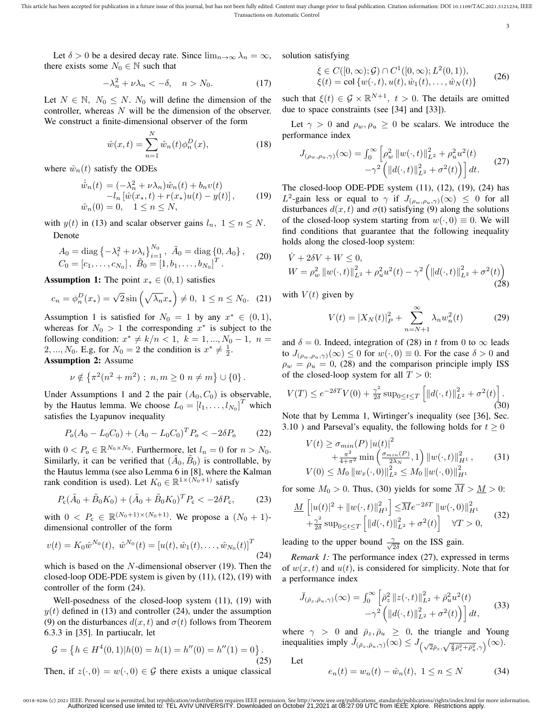This article has been accepted for publication in a future issue of this journal, but has not been fully edited. Content may change prior to final publication. Citation information: DOI 10.1109/TAC.2021.3121234, IEEE Transactions on Automatic Control

3

Let  $\delta > 0$  be a desired decay rate. Since  $\lim_{n \to \infty} \lambda_n = \infty$ , there exists some  $N_0 \in \mathbb{N}$  such that

$$
-\lambda_n^2 + \nu \lambda_n < -\delta, \quad n > N_0. \tag{17}
$$

Let  $N \in \mathbb{N}$ ,  $N_0 \leq N$ .  $N_0$  will define the dimension of the controller, whereas  $N$  will be the dimension of the observer. We construct a finite-dimensional observer of the form

$$
\hat{w}(x,t) = \sum_{n=1}^{N} \hat{w}_n(t)\phi_n^D(x),
$$
\n(18)

where  $\hat{w}_n(t)$  satisfy the ODEs

$$
\dot{\hat{w}}_n(t) = (-\lambda_n^2 + \nu \lambda_n) \hat{w}_n(t) + b_n v(t) \n-l_n \left[ \hat{w}(x_*, t) + r(x_*) u(t) - y(t) \right],
$$
\n(19)  
\n
$$
\hat{w}_n(0) = 0, \quad 1 \le n \le N,
$$

with  $y(t)$  in (13) and scalar observer gains  $l_n$ ,  $1 \le n \le N$ . Denote

$$
A_0 = \text{diag}\left\{-\lambda_i^2 + \nu \lambda_i\right\}_{i=1}^{N_0}, \ \tilde{A}_0 = \text{diag}\left\{0, A_0\right\},
$$
  

$$
C_0 = [c_1, \dots, c_{N_0}], \ \tilde{B}_0 = [1, b_1, \dots, b_{N_0}]^T.
$$
 (20)

Assumption 1: The point  $x_*(0,1)$  satisfies

$$
c_n = \phi_n^D(x_*) = \sqrt{2}\sin\left(\sqrt{\lambda_n}x_*\right) \neq 0, \ 1 \le n \le N_0. \tag{21}
$$

Assumption 1 is satisfied for  $N_0 = 1$  by any  $x^* \in (0,1)$ , whereas for  $N_0 > 1$  the corresponding  $x^*$  is subject to the following condition:  $x^* \neq k/n < 1$ ,  $k = 1, ..., N_0 - 1$ ,  $n =$ 2, ...,  $N_0$ . E.g, for  $N_0 = 2$  the condition is  $x^* \neq \frac{1}{2}$ . Assumption 2: Assume

$$
\nu \notin \left\{ \pi^2(n^2 + m^2) \; ; \; n, m \ge 0 \; n \ne m \right\} \cup \left\{ 0 \right\}.
$$

Under Assumptions 1 and 2 the pair  $(A_0, C_0)$  is observable, by the Hautus lemma. We choose  $L_0 = [l_1, \ldots, l_{N_0}]^T$  which satisfies the Lyapunov inequality

$$
P_o(A_0 - L_0 C_0) + (A_0 - L_0 C_0)^T P_o < -2\delta P_o \tag{22}
$$

with  $0 < P_0 \in \mathbb{R}^{N_0 \times N_0}$ . Furthermore, let  $l_n = 0$  for  $n > N_0$ . Similarly, it can be verified that  $(\tilde{A}_0, \tilde{B}_0)$  is controllable, by the Hautus lemma (see also Lemma 6 in [8], where the Kalman rank condition is used). Let  $K_0 \in \mathbb{R}^{1 \times (N_0+1)}$  satisfy

$$
P_{\rm c}(\tilde{A}_0 + \tilde{B}_0 K_0) + (\tilde{A}_0 + \tilde{B}_0 K_0)^T P_{\rm c} < -2\delta P_{\rm c},\tag{23}
$$

with  $0 < P_c \in \mathbb{R}^{(N_0+1) \times (N_0+1)}$ . We propose a  $(N_0 + 1)$ dimensional controller of the form

$$
v(t) = K_0 \hat{w}^{N_0}(t), \ \hat{w}^{N_0}(t) = [u(t), \hat{w}_1(t), \dots, \hat{w}_{N_0}(t)]^T
$$
\n(24)

which is based on the  $N$ -dimensional observer (19). Then the closed-loop ODE-PDE system is given by (11), (12), (19) with controller of the form (24).

Well-posedness of the closed-loop system (11), (19) with  $y(t)$  defined in (13) and controller (24), under the assumption (9) on the disturbances  $d(x, t)$  and  $\sigma(t)$  follows from Theorem 6.3.3 in [35]. In partiucalr, let

$$
\mathcal{G} = \left\{ h \in H^4(0,1) | h(0) = h(1) = h''(0) = h''(1) = 0 \right\}.
$$
\n(25)

\nThen, if  $z(\cdot, 0) = w(\cdot, 0) \in \mathcal{G}$  there exists a unique classical

solution satisfying

$$
\xi \in C([0,\infty); \mathcal{G}) \cap C^1([0,\infty); L^2(0,1)), \n\xi(t) = \text{col}\{w(\cdot,t), u(t), \hat{w}_1(t), \dots, \hat{w}_N(t)\}\n\tag{26}
$$

such that  $\xi(t) \in \mathcal{G} \times \mathbb{R}^{N+1}$ ,  $t > 0$ . The details are omitted due to space constraints (see [34] and [33]).

Let  $\gamma > 0$  and  $\rho_w, \rho_u \ge 0$  be scalars. We introduce the performance index

$$
J_{(\rho_w, \rho_u, \gamma)}(\infty) = \int_0^\infty \left[ \rho_w^2 \left\| w(\cdot, t) \right\|_{L^2}^2 + \rho_u^2 u^2(t) -\gamma^2 \left( \left\| d(\cdot, t) \right\|_{L^2}^2 + \sigma^2(t) \right) \right] dt. \tag{27}
$$

The closed-loop ODE-PDE system (11), (12), (19), (24) has  $L^2$ -gain less or equal to  $\gamma$  if  $J_{(\rho_w,\rho_u,\gamma)}(\infty) \leq 0$  for all disturbances  $d(x, t)$  and  $\sigma(t)$  satisfying (9) along the solutions of the closed-loop system starting from  $w(\cdot, 0) \equiv 0$ . We will find conditions that guarantee that the following inequality holds along the closed-loop system:

$$
\dot{V} + 2\delta V + W \le 0,W = \rho_w^2 \|w(\cdot, t)\|_{L^2}^2 + \rho_u^2 u^2(t) - \gamma^2 \left( \|d(\cdot, t)\|_{L^2}^2 + \sigma^2(t) \right)
$$
(28)

with  $V(t)$  given by

$$
V(t) = |X_N(t)|_P^2 + \sum_{n=N+1}^{\infty} \lambda_n w_n^2(t)
$$
 (29)

and  $\delta = 0$ . Indeed, integration of (28) in t from 0 to  $\infty$  leads to  $J_{(\rho_w,\rho_u,\gamma)}(\infty) \leq 0$  for  $w(\cdot,0) \equiv 0$ . For the case  $\delta > 0$  and  $\rho_w = \rho_u = 0$ , (28) and the comparison principle imply ISS of the closed-loop system for all  $T > 0$ :

$$
V(T) \le e^{-2\delta T} V(0) + \frac{\gamma^2}{2\delta} \sup_{0 \le t \le T} \left[ ||d(\cdot, t)||_{L^2}^2 + \sigma^2(t) \right].
$$
\n(30)

Note that by Lemma 1, Wirtinger's inequality (see [36], Sec. 3.10) and Parseval's equality, the following holds for  $t \geq 0$ 

$$
V(t) \geq \sigma_{min}(P) |u(t)|^2
$$
  
+  $\frac{\pi^2}{4 + \pi^2} \min\left(\frac{\sigma_{min}(P)}{2\lambda_N}, 1\right) ||w(\cdot, t)||_{H^1}^2,$  (31)  

$$
V(0) \leq M_0 ||w_x(\cdot, 0)||_{L^2}^2 \leq M_0 ||w(\cdot, 0)||_{H^1}^2
$$

for some  $M_0 > 0$ . Thus, (30) yields for some  $\overline{M} > M > 0$ :

$$
\underline{M}\left[|u(t)|^2 + \|w(\cdot,t)\|_{H^1}^2\right] \le \overline{M}e^{-2\delta T} \|w(\cdot,0)\|_{H^1}^2 + \frac{\gamma^2}{2\delta} \sup_{0 \le t \le T} \left[ \|d(\cdot,t)\|_{L^2}^2 + \sigma^2(t) \right] \quad \forall T > 0,
$$
\n(32)

leading to the upper bound  $\frac{\gamma}{\sqrt{c}}$  $\frac{\gamma}{2\delta}$  on the ISS gain.

*Remark 1:* The performance index (27), expressed in terms of  $w(x, t)$  and  $u(t)$ , is considered for simplicity. Note that for a performance index

$$
\bar{J}_{(\bar{\rho}_z, \bar{\rho}_u, \gamma)}(\infty) = \int_0^\infty \left[ \bar{\rho}_z^2 \left\| z(\cdot, t) \right\|_{L^2}^2 + \bar{\rho}_u^2 u^2(t) -\gamma^2 \left( \left\| d(\cdot, t) \right\|_{L^2}^2 + \sigma^2(t) \right) \right] dt,\tag{33}
$$

where  $\gamma > 0$  and  $\bar{\rho}_z, \bar{\rho}_u \geq 0$ , the triangle and Young inequalities imply  $\bar{J}_{(\bar{p}_z,\bar{p}_u,\gamma)}(\infty) \leq J_{(\sqrt{2}\bar{p}_z,\sqrt{\frac{2}{3}\bar{p}_z^2+\bar{p}_u^2},\gamma)}(\infty)$ .

Let

$$
e_n(t) = w_n(t) - \hat{w}_n(t), \ 1 \le n \le N \tag{34}
$$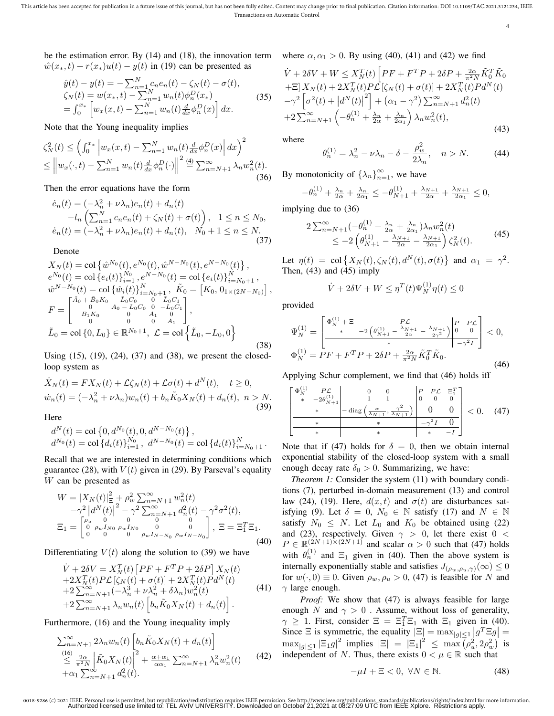4

be the estimation error. By (14) and (18), the innovation term where  $\alpha, \alpha_1 > 0$ . By using (40), (41) and (42) we find  $\hat{w}(x_*, t) + r(x_*)u(t) - y(t)$  in (19) can be presented as

$$
\hat{y}(t) - y(t) = -\sum_{n=1}^{N} c_n e_n(t) - \zeta_N(t) - \sigma(t), \n\zeta_N(t) = w(x_*, t) - \sum_{n=1}^{N} w_n(t) \phi_n^D(x_*) \n= \int_0^{x_*} \left[ w_x(x, t) - \sum_{n=1}^{N} w_n(t) \frac{d}{dx} \phi_n^D(x) \right] dx.
$$
\n(35)

Note that the Young inequality implies

$$
\zeta_N^2(t) \le \left( \int_0^{x_*} \left| w_x(x, t) - \sum_{n=1}^N w_n(t) \frac{d}{dx} \phi_n^D(x) \right| dx \right)^2
$$
  

$$
\le \left\| w_x(\cdot, t) - \sum_{n=1}^N w_n(t) \frac{d}{dx} \phi_n^D(\cdot) \right\|^2 \stackrel{(4)}{=} \sum_{n=N+1}^\infty \lambda_n w_n^2(t).
$$
 (36)

Then the error equations have the form

$$
\dot{e}_n(t) = (-\lambda_n^2 + \nu \lambda_n) e_n(t) + d_n(t) \n- l_n \left( \sum_{n=1}^N c_n e_n(t) + \zeta_N(t) + \sigma(t) \right), \quad 1 \le n \le N_0, \n\dot{e}_n(t) = (-\lambda_n^2 + \nu \lambda_n) e_n(t) + d_n(t), \quad N_0 + 1 \le n \le N.
$$
\n(37)

Denote

$$
X_N(t) = \text{col}\left\{\hat{w}^{N_0}(t), e^{N_0}(t), \hat{w}^{N-N_0}(t), e^{N-N_0}(t)\right\},
$$
  
\n
$$
e^{N_0}(t) = \text{col}\left\{e_i(t)\right\}_{i=1}^{N_0}, e^{N-N_0}(t) = \text{col}\left\{e_i(t)\right\}_{i=N_0+1}^{N},
$$
  
\n
$$
\hat{w}^{N-N_0}(t) = \text{col}\left\{\hat{w}_i(t)\right\}_{i=N_0+1}^{N}, \tilde{K}_0 = \left[K_0, 0_{1 \times (2N-N_0)}\right],
$$
  
\n
$$
F = \begin{bmatrix} \tilde{A}_0 + \tilde{B}_0 K_0 & \tilde{L}_0 C_0 & 0 & \tilde{L}_0 C_1 \\ 0 & A_0 - L_0 C_0 & 0 & -L_0 C_1 \\ B_1 K_0 & 0 & A_1 & 0 \\ 0 & 0 & 0 & A_1 \end{bmatrix},
$$
  
\n
$$
\tilde{L}_0 = \text{col}\left\{0, L_0\right\} \in \mathbb{R}^{N_0+1}, \ \mathcal{L} = \text{col}\left\{\tilde{L}_0, -L_0, 0\right\}
$$
 (38)

Using (15), (19), (24), (37) and (38), we present the closedloop system as

$$
\dot{X}_N(t) = FX_N(t) + \mathcal{L}\zeta_N(t) + \mathcal{L}\sigma(t) + d^N(t), \quad t \ge 0,
$$
  

$$
\dot{w}_n(t) = (-\lambda_n^2 + \nu\lambda_n)w_n(t) + b_n\tilde{K}_0X_N(t) + d_n(t), \quad n > N.
$$
\n(39)

Here

$$
\begin{array}{l} d^N(t) = \text{col}\left\{0, d^{N_0}(t), 0, d^{N-N_0}(t)\right\},\\ d^{N_0}(t) = \text{col}\left\{d_i(t)\right\}_{i=1}^{N_0}, \ d^{N-N_0}(t) = \text{col}\left\{d_i(t)\right\}_{i=N_0+1}^{N}. \end{array}
$$

Recall that we are interested in determining conditions which guarantee (28), with  $V(t)$  given in (29). By Parseval's equality W can be presented as

$$
W = |X_N(t)|_{\Xi}^2 + \rho_w^2 \sum_{n=N+1}^{\infty} w_n^2(t)
$$
  

$$
-\gamma^2 |d^N(t)|^2 - \gamma^2 \sum_{n=N+1}^{\infty} d_n^2(t) - \gamma^2 \sigma^2(t),
$$
  

$$
\Xi_1 = \begin{bmatrix} \rho_u & 0 & 0 & 0 \\ 0 & \rho_w I_{N0} & \rho_w I_{N0} & 0 \\ 0 & 0 & 0 & \rho_w I_{N-N0} & \rho_w I_{N-N0} \end{bmatrix}, \Xi = \Xi_1^T \Xi_1.
$$
  
(40)

Differentiating  $V(t)$  along the solution to (39) we have

$$
\dot{V} + 2\delta V = X_N^T(t) \left[ PF + F^T P + 2\delta P \right] X_N(t) \n+ 2X_N^T(t) P \mathcal{L} \left[ \zeta_N(t) + \sigma(t) \right] + 2X_N^T(t) P d^N(t) \n+ 2 \sum_{n=N+1}^{\infty} (-\lambda_n^3 + \nu \lambda_n^2 + \delta \lambda_n) w_n^2(t) \n+ 2 \sum_{n=N+1}^{\infty} \lambda_n w_n(t) \left[ b_n \tilde{K}_0 X_N(t) + d_n(t) \right].
$$
\n(41)

Furthermore, (16) and the Young inequality imply

$$
\sum_{n=N+1}^{\infty} 2\lambda_n w_n(t) \left[ b_n \tilde{K}_0 X_N(t) + d_n(t) \right]
$$
  
\n
$$
\leq \frac{10}{\pi^2 N} \left| \tilde{K}_0 X_N(t) \right|^2 + \frac{\alpha + \alpha_1}{\alpha \alpha_1} \sum_{n=N+1}^{\infty} \lambda_n^2 w_n^2(t)
$$
\n
$$
+ \alpha_1 \sum_{n=N+1}^{\infty} d_n^2(t).
$$
\n(42)

$$
\dot{V} + 2\delta V + W \le X_N^T(t) \left[ PF + F^T P + 2\delta P + \frac{2\alpha}{\pi^2 N} \tilde{K}_0^T \tilde{K}_0 \right.\n+ \Xi \left[ X_N(t) + 2X_N^T(t) P \mathcal{L} \left[ \zeta_N(t) + \sigma(t) \right] + 2X_N^T(t) P d^N(t) \right.\n- \gamma^2 \left[ \sigma^2(t) + \left| d^N(t) \right|^2 \right] + (\alpha_1 - \gamma^2) \sum_{n=N+1}^{\infty} d_n^2(t) \n+ 2 \sum_{n=N+1}^{\infty} \left( -\theta_n^{(1)} + \frac{\lambda_n}{2\alpha} + \frac{\lambda_n}{2\alpha_1} \right) \lambda_n w_n^2(t),
$$
\n(43)

where

$$
\theta_n^{(1)} = \lambda_n^2 - \nu \lambda_n - \delta - \frac{\rho_w^2}{2\lambda_n}, \quad n > N. \tag{44}
$$

By monotonicity of  $\{\lambda_n\}_{n=1}^{\infty}$ , we have

$$
-\theta_n^{(1)} + \frac{\lambda_n}{2\alpha} + \frac{\lambda_n}{2\alpha_1} \le -\theta_{N+1}^{(1)} + \frac{\lambda_{N+1}}{2\alpha} + \frac{\lambda_{N+1}}{2\alpha_1} \le 0,
$$

implying due to (36)

$$
2\sum_{n=N+1}^{\infty}(-\theta_n^{(1)} + \frac{\lambda_n}{2\alpha} + \frac{\lambda_n}{2\alpha_1})\lambda_n w_n^{2}(t) \le -2\left(\theta_{N+1}^{(1)} - \frac{\lambda_{N+1}}{2\alpha} - \frac{\lambda_{N+1}}{2\alpha_1}\right)\zeta_N^{2}(t).
$$
 (45)

Let  $\eta(t) = \text{col}\left\{X_N(t), \zeta_N(t), d^N(t), \sigma(t)\right\}$  and  $\alpha_1 = \gamma^2$ . Then, (43) and (45) imply

$$
\dot{V} + 2\delta V + W \le \eta^T(t)\Psi_N^{(1)}\eta(t) \le 0
$$

provided

$$
\Psi_N^{(1)} = \n\begin{bmatrix}\n\Phi_N^{(1)} + \Xi & P\mathcal{L} \\
\ast & -2\left(\theta_{N+1}^{(1)} - \frac{\lambda_{N+1}}{2\alpha} - \frac{\lambda_{N+1}}{2\gamma^2}\right) \n\end{bmatrix}\n\begin{bmatrix}\nP & P\mathcal{L} \\
0 & 0\n\end{bmatrix} < 0, \\
\Phi_N^{(1)} = PF + F^T P + 2\delta P + \frac{2\alpha}{\pi^2 N} \tilde{K}_0^T \tilde{K}_0.\n\tag{46}
$$

Applying Schur complement, we find that (46) holds iff

$$
\left[\begin{array}{c|c|c}\n\Phi_{N}^{(1)} & P\mathcal{L} & 0 & 0 & P & P\mathcal{L} & \Xi_{1}^{T} \\
\ast & -2\theta_{N+1}^{(1)} & 1 & 1 & 0 & 0 & 0 \\
\hline\n\ast & -\text{diag}\left(\frac{\alpha}{\lambda_{N+1}}, \frac{\gamma^{2}}{\lambda_{N+1}}\right) & 0 & 0 \\
\hline\n\ast & \ast & -\gamma^{2}I & 0 \\
\hline\n\ast & \ast & \ast & -I\n\end{array}\right] < 0. \quad (47)
$$

Note that if (47) holds for  $\delta = 0$ , then we obtain internal exponential stability of the closed-loop system with a small enough decay rate  $\delta_0 > 0$ . Summarizing, we have:

*Theorem 1:* Consider the system (11) with boundary conditions (7), perturbed in-domain measurement (13) and control law (24), (19). Here,  $d(x, t)$  and  $\sigma(t)$  are disturbances satisfying (9). Let  $\delta = 0$ ,  $N_0 \in \mathbb{N}$  satisfy (17) and  $N \in \mathbb{N}$ satisfy  $N_0 \leq N$ . Let  $L_0$  and  $K_0$  be obtained using (22) and (23), respectively. Given  $\gamma > 0$ , let there exist  $0 <$  $P \in \mathbb{R}^{(2N+1)\times (2N+1)}$  and scalar  $\alpha > 0$  such that (47) holds with  $\theta_n^{(1)}$  and  $\Xi_1$  given in (40). Then the above system is internally exponentially stable and satisfies  $J_{(\rho_w,\rho_u,\gamma)}(\infty) \leq 0$ for  $w(\cdot, 0) \equiv 0$ . Given  $\rho_w, \rho_u > 0$ , (47) is feasible for N and  $\gamma$  large enough.

*Proof:* We show that (47) is always feasible for large enough N and  $\gamma > 0$ . Assume, without loss of generality,  $\gamma \geq 1$ . First, consider  $\Xi = \Xi_1^T \Xi_1$  with  $\Xi_1$  given in (40). Since  $\Xi$  is symmetric, the equality  $|\Xi| = \max_{|g| \leq 1} |g^T \Xi g|$  $\max_{|g| \leq 1} |\Xi_1 g|^2$  implies  $|\Xi| = |\Xi_1|^2 \leq \max(\rho_u^2, 2\rho_w^2)$  is independent of N. Thus, there exists  $0 < \mu \in \mathbb{R}$  such that

$$
-\mu I + \Xi < 0, \ \forall N \in \mathbb{N}.\tag{48}
$$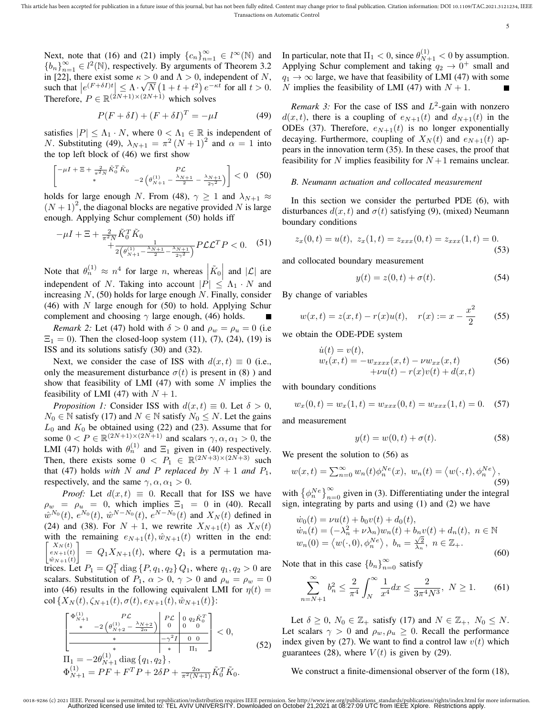5

Next, note that (16) and (21) imply  ${c_n}_{n=1}^{\infty} \in l^{\infty}(\mathbb{N})$  and  ${b_n}_{n=1}^{\infty} \in l^2(\mathbb{N})$ , respectively. By arguments of Theorem 3.2 in [22], there exist some  $\kappa > 0$  and  $\Lambda > 0$ , independent of N, such that  $|e^{(F+\delta I)t}| \leq \Lambda \cdot \sqrt{N} (1+t+t^2) e^{-\kappa t}$  for all  $t > 0$ . Therefore,  $P \in \mathbb{R}^{(2N+1)\times(2N+1)}$  which solves

$$
P(F + \delta I) + (F + \delta I)^{T} = -\mu I \tag{49}
$$

satisfies  $|P| \leq \Lambda_1 \cdot N$ , where  $0 < \Lambda_1 \in \mathbb{R}$  is independent of *N*. Substituting (49),  $\lambda_{N+1} = \pi^2 (N+1)^2$  and  $\alpha = 1$  into the top left block of (46) we first show

$$
\begin{bmatrix} -\mu I + \Xi + \frac{2}{\pi^2 N} \tilde{K}_0^T \tilde{K}_0 & P\mathcal{L} \\ * & -2 \left( \theta_{N+1}^{(1)} - \frac{\lambda_{N+1}}{2} - \frac{\lambda_{N+1}}{2\gamma^2} \right) \end{bmatrix} < 0 \quad (50)
$$

holds for large enough N. From (48),  $\gamma \geq 1$  and  $\lambda_{N+1} \approx$  $(N + 1)^2$ , the diagonal blocks are negative provided N is large enough. Applying Schur complement (50) holds iff

$$
-\mu I + \Xi + \frac{2}{\pi^2 N} \tilde{K}_0^T \tilde{K}_0 + \frac{1}{2\left(\theta_{N+1}^{(1)} - \frac{\lambda_{N+1}}{2} - \frac{\lambda_{N+1}}{2\gamma^2}\right)} P\mathcal{L}\mathcal{L}^T P < 0. \tag{51}
$$

Note that  $\theta_n^{(1)} \approx n^4$  for large *n*, whereas  $|\tilde{K}_0|$  and  $|\mathcal{L}|$  are independent of N. Taking into account  $|P| \leq \Lambda_1 \cdot N$  and increasing  $N$ , (50) holds for large enough N. Finally, consider (46) with  $N$  large enough for (50) to hold. Applying Schur complement and choosing  $\gamma$  large enough, (46) holds.

*Remark 2:* Let (47) hold with  $\delta > 0$  and  $\rho_w = \rho_u = 0$  (i.e.  $\Xi_1 = 0$ ). Then the closed-loop system (11), (7), (24), (19) is ISS and its solutions satisfy (30) and (32).

Next, we consider the case of ISS with  $d(x, t) \equiv 0$  (i.e., only the measurement disturbance  $\sigma(t)$  is present in (8)) and show that feasibility of LMI  $(47)$  with some N implies the feasibility of LMI (47) with  $N + 1$ .

*Proposition 1:* Consider ISS with  $d(x,t) \equiv 0$ . Let  $\delta > 0$ ,  $N_0 \in \mathbb{N}$  satisfy (17) and  $N \in \mathbb{N}$  satisfy  $N_0 \leq N$ . Let the gains  $L_0$  and  $K_0$  be obtained using (22) and (23). Assume that for some  $0 < P \in \mathbb{R}^{(2N+1)\times(2N+1)}$  and scalars  $\gamma, \alpha, \alpha_1 > 0$ , the LMI (47) holds with  $\theta_n^{(1)}$  and  $\Xi_1$  given in (40) respectively. Then, there exists some  $0 \le P_1 \in \mathbb{R}^{(2N+3)\times(2N+3)}$  such that (47) holds *with* N *and* P *replaced by*  $N + 1$  *and*  $P_1$ , respectively, and the same  $\gamma, \alpha, \alpha_1 > 0$ .

*Proof:* Let  $d(x, t) \equiv 0$ . Recall that for ISS we have  $\rho_w = \rho_u = 0$ , which implies  $\Xi_1 = 0$  in (40). Recall  $\hat{w}^{N_0}(t)$ ,  $e^{N_0}(t)$ ,  $\hat{w}^{N-N_0}(t)$ ,  $e^{N-N_0}(t)$  and  $X_N(t)$  defined in (24) and (38). For  $N + 1$ , we rewrite  $X_{N+1}(t)$  as  $X_N(t)$ with the remaining  $e_{N+1}(t)$ ,  $\hat{w}_{N+1}(t)$  written in the end:  $\lceil$  $\begin{bmatrix} X_N(t) \\ e_{N+1}(t) \end{bmatrix}$  $\lfloor \hat{w}_{N+1}(t) \rfloor$  $= Q_1 X_{N+1}(t)$ , where  $Q_1$  is a permutation matrices. Let  $P_1 = Q_1^T \text{ diag} \{P, q_1, q_2\} Q_1$ , where  $q_1, q_2 > 0$  are scalars. Substitution of  $P_1$ ,  $\alpha > 0$ ,  $\gamma > 0$  and  $\rho_u = \rho_w = 0$ into (46) results in the following equivalent LMI for  $\eta(t) =$ col  $\{X_N(t), \zeta_{N+1}(t), \sigma(t), e_{N+1}(t), \hat{w}_{N+1}(t)\}$ :

$$
\frac{\begin{bmatrix}\n\Phi_{N+1}^{(1)} & P\mathcal{L} \\
\ast & -2\left(\theta_{N+2}^{(1)} - \frac{\lambda_{N+2}}{2\alpha}\right) & 0 & 0 & 0 \\
\hline\n\end{bmatrix} & \begin{bmatrix}\nP\mathcal{L} & 0 & q_2 \tilde{K}_0^T \\
0 & 0 & 0 & 0 \\
\hline\n\end{bmatrix} < 0, \\
\frac{\ast & -\gamma^2 I & 0 & 0 \\
\ast & \pi_1 & 0 & 0 \\
\hline\n\text{II}_1 = -2\theta_{N+1}^{(1)} \text{ diag }\{q_1, q_2\}, \\
\Phi_{N+1}^{(1)} = PF + F^T P + 2\delta P + \frac{2\alpha}{\pi^2 (N+1)} \tilde{K}_0^T \tilde{K}_0.\n\end{bmatrix} < 0,
$$
\n(52)

In particular, note that  $\Pi_1 < 0$ , since  $\theta_{N+1}^{(1)} < 0$  by assumption. Applying Schur complement and taking  $q_2 \to 0^+$  small and  $q_1 \rightarrow \infty$  large, we have that feasibility of LMI (47) with some N implies the feasibility of LMI (47) with  $N + 1$ .

*Remark 3:* For the case of ISS and  $L^2$ -gain with nonzero  $d(x, t)$ , there is a coupling of  $e_{N+1}(t)$  and  $d_{N+1}(t)$  in the ODEs (37). Therefore,  $e_{N+1}(t)$  is no longer exponentially decaying. Furthermore, coupling of  $X_N(t)$  and  $e_{N+1}(t)$  appears in the innovation term (35). In these cases, the proof that feasibility for N implies feasibility for  $N+1$  remains unclear.

## *B. Neumann actuation and collocated measurement*

In this section we consider the perturbed PDE (6), with disturbances  $d(x, t)$  and  $\sigma(t)$  satisfying (9), (mixed) Neumann boundary conditions

$$
z_x(0,t) = u(t), \ z_x(1,t) = z_{xxx}(0,t) = z_{xxx}(1,t) = 0.
$$
\n(53)

and collocated boundary measurement

$$
y(t) = z(0, t) + \sigma(t). \tag{54}
$$

By change of variables

$$
w(x,t) = z(x,t) - r(x)u(t), \quad r(x) := x - \frac{x^2}{2} \tag{55}
$$

we obtain the ODE-PDE system

$$
\dot{u}(t) = v(t), \n w_t(x,t) = -w_{xxxx}(x,t) - \nu w_{xx}(x,t) \n + \nu u(t) - r(x)v(t) + d(x,t)
$$
\n(56)

with boundary conditions

$$
w_x(0,t) = w_x(1,t) = w_{xxx}(0,t) = w_{xxx}(1,t) = 0.
$$
 (57)

and measurement

$$
y(t) = w(0, t) + \sigma(t). \tag{58}
$$

We present the solution to (56) as

$$
w(x,t) = \sum_{n=0}^{\infty} w_n(t) \phi_n^{Ne}(x), \ w_n(t) = \langle w(\cdot, t), \phi_n^{Ne} \rangle,
$$
\n(59)

with  $\left\{\phi_n^{Ne}\right\}_{n=0}^{\infty}$  given in (3). Differentiating under the integral sign, integrating by parts and using (1) and (2) we have

$$
\dot{w}_0(t) = \nu u(t) + b_0 v(t) + d_0(t),
$$
  
\n
$$
\dot{w}_n(t) = (-\lambda_n^2 + \nu \lambda_n) w_n(t) + b_n v(t) + d_n(t), \quad n \in \mathbb{N}
$$
  
\n
$$
w_n(0) = \langle w(\cdot, 0), \phi_n^{N_e} \rangle, \quad b_n = \frac{\sqrt{2}}{\lambda_n}, \quad n \in \mathbb{Z}_+.
$$
\n(60)

Note that in this case  ${b_n}_{n=0}^{\infty}$  satisfy

$$
\sum_{n=N+1}^{\infty} b_n^2 \le \frac{2}{\pi^4} \int_N^{\infty} \frac{1}{x^4} dx \le \frac{2}{3\pi^4 N^3}, \ N \ge 1.
$$
 (61)

Let  $\delta \geq 0$ ,  $N_0 \in \mathbb{Z}_+$  satisfy (17) and  $N \in \mathbb{Z}_+$ ,  $N_0 \leq N$ . Let scalars  $\gamma > 0$  and  $\rho_w, \rho_u \geq 0$ . Recall the performance index given by (27). We want to find a control law  $v(t)$  which guarantees (28), where  $V(t)$  is given by (29).

We construct a finite-dimensional observer of the form (18),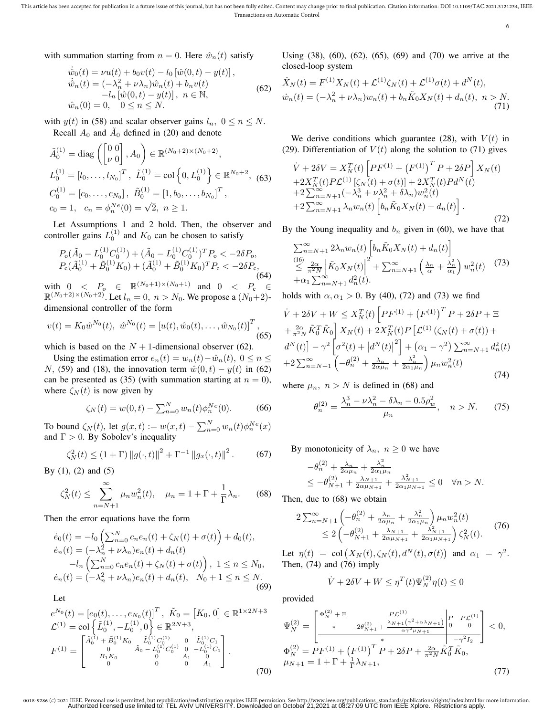6

with summation starting from  $n = 0$ . Here  $\hat{w}_n(t)$  satisfy

$$
\dot{\hat{w}}_0(t) = \nu u(t) + b_0 v(t) - l_0 [\hat{w}(0, t) - y(t)], \n\dot{\hat{w}}_n(t) = (-\lambda_n^2 + \nu \lambda_n) \hat{w}_n(t) + b_n v(t) \n-l_n [\hat{w}(0, t) - y(t)], \quad n \in \mathbb{N}, \n\hat{w}_n(0) = 0, \quad 0 \le n \le N.
$$
\n(62)

with  $y(t)$  in (58) and scalar observer gains  $l_n$ ,  $0 \le n \le N$ . Recall  $A_0$  and  $\tilde{A}_0$  defined in (20) and denote

$$
\tilde{A}_0^{(1)} = \text{diag}\left(\begin{bmatrix} 0 & 0 \\ \nu & 0 \end{bmatrix}, A_0\right) \in \mathbb{R}^{(N_0 + 2) \times (N_0 + 2)},
$$
\n
$$
L_0^{(1)} = [l_0, \dots, l_{N_0}]^T, \quad \tilde{L}_0^{(1)} = \text{col}\left\{0, L_0^{(1)}\right\} \in \mathbb{R}^{N_0 + 2},
$$
\n
$$
C_0^{(1)} = [c_0, \dots, c_{N_0}], \quad \tilde{B}_0^{(1)} = [1, b_0, \dots, b_{N_0}]^T,
$$
\n
$$
c_0 = 1, \quad c_n = \phi_n^{Ne}(0) = \sqrt{2}, \quad n \ge 1.
$$

Let Assumptions 1 and 2 hold. Then, the observer and controller gains  $L_0^{(1)}$  and  $K_0$  can be chosen to satisfy

$$
P_o(\tilde{A}_0 - L_0^{(1)}C_0^{(1)}) + (\tilde{A}_0 - L_0^{(1)}C_0^{(1)})^T P_o < -2\delta P_o,
$$
  
\n
$$
P_c(\tilde{A}_0^{(1)} + \tilde{B}_0^{(1)}K_0) + (\tilde{A}_0^{(1)} + \tilde{B}_0^{(1)}K_0)^T P_c < -2\delta P_c,
$$
\n(64)

with  $0 \leq P_0 \in \mathbb{R}^{(N_0+1)\times(N_0+1)}$  and  $0 \leq P_c \in$  $\mathbb{R}^{(N_0+2)\times(N_0+2)}$ . Let  $l_n = 0$ ,  $n > N_0$ . We propose a  $(N_0+2)$ dimensional controller of the form

$$
v(t) = K_0 \hat{w}^{N_0}(t), \ \hat{w}^{N_0}(t) = [u(t), \hat{w}_0(t), \dots, \hat{w}_{N_0}(t)]^T,
$$
\n(65)

which is based on the  $N + 1$ -dimensional observer (62).

Using the estimation error  $e_n(t) = w_n(t) - \hat{w}_n(t)$ ,  $0 \le n \le$ N, (59) and (18), the innovation term  $\hat{w}(0, t) - y(t)$  in (62) can be presented as (35) (with summation starting at  $n = 0$ ), where  $\zeta_N(t)$  is now given by

$$
\zeta_N(t) = w(0, t) - \sum_{n=0}^N w_n(t) \phi_n^{Ne}(0).
$$
 (66)

To bound  $\zeta_N(t)$ , let  $g(x,t) := w(x,t) - \sum_{n=0}^N w_n(t) \phi_n^{Ne}(x)$ and  $\Gamma > 0$ . By Sobolev's inequality

$$
\zeta_N^2(t) \le (1+\Gamma) \|g(\cdot,t)\|^2 + \Gamma^{-1} \|g_x(\cdot,t)\|^2. \tag{67}
$$

By (1), (2) and (5)

$$
\zeta_N^2(t) \le \sum_{n=N+1}^{\infty} \mu_n w_n^2(t), \quad \mu_n = 1 + \Gamma + \frac{1}{\Gamma} \lambda_n. \tag{68}
$$

Then the error equations have the form

$$
\dot{e}_0(t) = -l_0 \left( \sum_{n=0}^N c_n e_n(t) + \zeta_N(t) + \sigma(t) \right) + d_0(t),
$$
  
\n
$$
\dot{e}_n(t) = (-\lambda_n^2 + \nu \lambda_n) e_n(t) + d_n(t)
$$
  
\n
$$
-l_n \left( \sum_{n=0}^N c_n e_n(t) + \zeta_N(t) + \sigma(t) \right), \ 1 \le n \le N_0,
$$
  
\n
$$
\dot{e}_n(t) = (-\lambda_n^2 + \nu \lambda_n) e_n(t) + d_n(t), \ N_0 + 1 \le n \le N.
$$
\n(69)

Let  
\n
$$
e^{N_0}(t) = [e_0(t), \dots, e_{N_0}(t)]^T, \ \tilde{K}_0 = [K_0, 0] \in \mathbb{R}^{1 \times 2N+3}
$$
\n
$$
\mathcal{L}^{(1)} = \text{col}\left\{\tilde{L}_0^{(1)}, -L_0^{(1)}, 0\right\} \in \mathbb{R}^{2N+3},
$$
\n
$$
F^{(1)} = \begin{bmatrix} \tilde{A}_0^{(1)} + \tilde{B}_0^{(1)} K_0 & \tilde{L}_0^{(1)} C_0^{(1)} & 0 & \tilde{L}_0^{(1)} C_1 \\ 0 & \tilde{A}_0 - L_0^{(1)} C_0^{(1)} & 0 & -L_0^{(1)} C_1 \\ B_1 K_0 & 0 & A_1 & 0 \\ 0 & 0 & 0 & A_1 \end{bmatrix}.
$$
\n(70)

Using (38), (60), (62), (65), (69) and (70) we arrive at the closed-loop system

$$
\dot{X}_N(t) = F^{(1)}X_N(t) + \mathcal{L}^{(1)}\zeta_N(t) + \mathcal{L}^{(1)}\sigma(t) + d^N(t),
$$
  

$$
\dot{w}_n(t) = (-\lambda_n^2 + \nu\lambda_n)w_n(t) + b_n\tilde{K}_0X_N(t) + d_n(t), \quad n > N.
$$
 (71)

We derive conditions which guarantee (28), with  $V(t)$  in (29). Differentiation of  $V(t)$  along the solution to (71) gives

$$
\dot{V} + 2\delta V = X_N^T(t) \left[ PF^{(1)} + (F^{(1)})^T P + 2\delta P \right] X_N(t) \n+ 2X_N^T(t) P L^{(1)} \left[ \zeta_N(t) + \sigma(t) \right] + 2X_N^T(t) P d^N(t) \n+ 2 \sum_{n=N+1}^{\infty} (-\lambda_n^3 + \nu \lambda_n^2 + \delta \lambda_n) w_n^2(t) \n+ 2 \sum_{n=N+1}^{\infty} \lambda_n w_n(t) \left[ b_n \tilde{K}_0 X_N(t) + d_n(t) \right].
$$
\n(72)

By the Young inequality and  $b_n$  given in (60), we have that

$$
\sum_{n=N+1}^{\infty} 2\lambda_n w_n(t) \left[ b_n \tilde{K}_0 X_N(t) + d_n(t) \right]
$$
  
\n
$$
\leq \frac{16}{\pi^2 N} \left[ \tilde{K}_0 X_N(t) \right]^2 + \sum_{n=N+1}^{\infty} \left( \frac{\lambda_n}{\alpha} + \frac{\lambda_n^2}{\alpha_1} \right) w_n^2(t) \tag{73}
$$
  
\n
$$
+ \alpha_1 \sum_{n=N+1}^{\infty} d_n^2(t).
$$

holds with  $\alpha, \alpha_1 > 0$ . By (40), (72) and (73) we find

$$
\dot{V} + 2\delta V + W \le X_N^T(t) \left[ PF^{(1)} + (F^{(1)})^T P + 2\delta P + \Xi \n+ \frac{2\alpha}{\pi^2 N} \tilde{K}_0^T \tilde{K}_0 \right] X_N(t) + 2X_N^T(t) P \left[ \mathcal{L}^{(1)} (\zeta_N(t) + \sigma(t)) + d^N(t) \right] - \gamma^2 \left[ \sigma^2(t) + |d^N(t)|^2 \right] + (\alpha_1 - \gamma^2) \sum_{n=N+1}^{\infty} d_n^2(t) \n+ 2 \sum_{n=N+1}^{\infty} \left( -\theta_n^{(2)} + \frac{\lambda_n}{2\alpha \mu_n} + \frac{\lambda_n^2}{2\alpha_1 \mu_n} \right) \mu_n w_n^2(t)
$$
\n(74)

where  $\mu_n$ ,  $n > N$  is defined in (68) and

$$
\theta_n^{(2)} = \frac{\lambda_n^3 - \nu \lambda_n^2 - \delta \lambda_n - 0.5 \rho_w^2}{\mu_n}, \quad n > N. \tag{75}
$$

By monotonicity of  $\lambda_n$ ,  $n \geq 0$  we have

$$
\begin{aligned} &-\theta_n^{(2)} + \frac{\lambda_n}{2\alpha\mu_n} + \frac{\lambda_n^2}{2\alpha_1\mu_n} \\ &\leq -\theta_{N+1}^{(2)} + \frac{\lambda_{N+1}}{2\alpha\mu_{N+1}} + \frac{\lambda_{N+1}^2}{2\alpha_1\mu_{N+1}} \leq 0 \quad \forall n > N. \end{aligned}
$$

Then, due to (68) we obtain

$$
2\sum_{n=N+1}^{\infty} \left(-\theta_n^{(2)} + \frac{\lambda_n}{2\alpha\mu_n} + \frac{\lambda_n^2}{2\alpha_1\mu_n}\right) \mu_n w_n^2(t)
$$
  
 
$$
\leq 2\left(-\theta_{N+1}^{(2)} + \frac{\lambda_{N+1}}{2\alpha\mu_{N+1}} + \frac{\lambda_{N+1}^2}{2\alpha_1\mu_{N+1}}\right) \zeta_N^2(t).
$$
 (76)

Let  $\eta(t) = \text{col}(X_N(t), \zeta_N(t), d^N(t), \sigma(t))$  and  $\alpha_1 = \gamma^2$ . Then,  $(74)$  and  $(76)$  imply

$$
\dot{V} + 2\delta V + W \le \eta^T(t)\Psi_N^{(2)}\eta(t) \le 0
$$

provided

$$
\Psi_N^{(2)} = \begin{bmatrix}\n\Phi_N^{(2)} + \Xi & P\mathcal{L}^{(1)} \\
\ast & -2\theta_{N+1}^{(2)} + \frac{\lambda_{N+1}(\gamma^2 + \alpha\lambda_{N+1})}{\alpha\gamma^2\mu_{N+1}}\n\end{bmatrix}\n\Phi_N^{(2)} = PF^{(1)} + (F^{(1)})^T P + 2\delta P + \frac{2\alpha}{\pi^2 N} \tilde{K}_0^T \tilde{K}_0, \n\mu_{N+1} = 1 + \Gamma + \frac{1}{\Gamma} \lambda_{N+1},
$$
\n(77)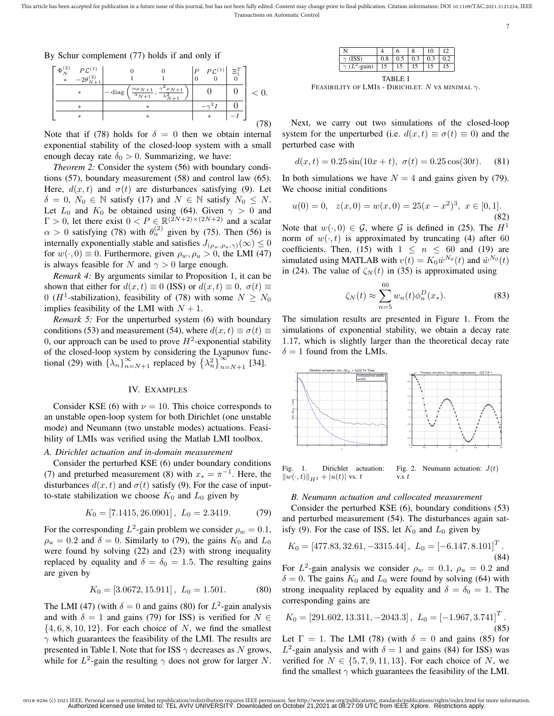7

By Schur complement (77) holds if and only if



Note that if (78) holds for  $\delta = 0$  then we obtain internal exponential stability of the closed-loop system with a small enough decay rate  $\delta_0 > 0$ . Summarizing, we have:

*Theorem 2:* Consider the system (56) with boundary conditions (57), boundary measurement (58) and control law (65). Here,  $d(x, t)$  and  $\sigma(t)$  are disturbances satisfying (9). Let  $\delta = 0, N_0 \in \mathbb{N}$  satisfy (17) and  $N \in \mathbb{N}$  satisfy  $N_0 \leq N$ . Let  $L_0$  and  $K_0$  be obtained using (64). Given  $\gamma > 0$  and  $\Gamma > 0$ , let there exist  $0 < P \in \mathbb{R}^{(2N+2) \times (2N+2)}$  and a scalar  $\alpha > 0$  satisfying (78) with  $\theta_n^{(2)}$  given by (75). Then (56) is internally exponentially stable and satisfies  $J_{(\rho_w,\rho_u,\gamma)}(\infty) \leq 0$ for  $w(\cdot, 0) \equiv 0$ . Furthermore, given  $\rho_w, \rho_u > 0$ , the LMI (47) is always feasible for N and  $\gamma > 0$  large enough.

*Remark 4:* By arguments similar to Proposition 1, it can be shown that either for  $d(x, t) \equiv 0$  (ISS) or  $d(x, t) \equiv 0$ ,  $\sigma(t) \equiv$ 0 (*H*<sup>1</sup>-stabilization), feasibility of (78) with some  $N \ge N_0$ implies feasibility of the LMI with  $N + 1$ .

*Remark 5:* For the unperturbed system (6) with boundary conditions (53) and measurement (54), where  $d(x, t) \equiv \sigma(t) \equiv$ 0, our approach can be used to prove  $H^2$ -exponential stability of the closed-loop system by considering the Lyapunov functional (29) with  $\{\lambda_n\}_{n=N+1}^{\infty}$  replaced by  $\{\lambda_n^2\}_{n=N+1}^{\infty}$  [34].

#### IV. EXAMPLES

Consider KSE (6) with  $\nu = 10$ . This choice corresponds to an unstable open-loop system for both Dirichlet (one unstable mode) and Neumann (two unstable modes) actuations. Feasibility of LMIs was verified using the Matlab LMI toolbox.

### *A. Dirichlet actuation and in-domain measurement*

Consider the perturbed KSE (6) under boundary conditions (7) and preturbed measurement (8) with  $x_* = \pi^{-1}$ . Here, the disturbances  $d(x, t)$  and  $\sigma(t)$  satisfy (9). For the case of inputto-state stabilization we choose  $K_0$  and  $L_0$  given by

$$
K_0 = [7.1415, 26.0901], \ L_0 = 2.3419. \tag{79}
$$

For the corresponding  $L^2$ -gain problem we consider  $\rho_w = 0.1$ ,  $\rho_u = 0.2$  and  $\delta = 0$ . Similarly to (79), the gains  $K_0$  and  $L_0$ were found by solving (22) and (23) with strong inequality replaced by equality and  $\delta = \delta_0 = 1.5$ . The resulting gains are given by

$$
K_0 = [3.0672, 15.911], \ L_0 = 1.501. \tag{80}
$$

The LMI (47) (with  $\delta = 0$  and gains (80) for  $L^2$ -gain analysis and with  $\delta = 1$  and gains (79) for ISS) is verified for  $N \in$  $\{4, 6, 8, 10, 12\}$ . For each choice of N, we find the smallest  $\gamma$  which guarantees the feasibility of the LMI. The results are presented in Table I. Note that for ISS  $\gamma$  decreases as N grows, while for  $L^2$ -gain the resulting  $\gamma$  does not grow for larger N.

|                |     |     |     | 10  | $\overline{12}$ |  |  |  |
|----------------|-----|-----|-----|-----|-----------------|--|--|--|
| $\gamma$ (ISS) | 0.8 | 0.5 | 0.3 | 0.3 | $0.2 -$         |  |  |  |
| gain)          | 15  | 15  | 15  | IJ  | 15              |  |  |  |
| TARI E I       |     |     |     |     |                 |  |  |  |

FEASIBILITY OF LMIS - DIRICHLET. N VS MINIMAL  $\gamma$ .

Next, we carry out two simulations of the closed-loop system for the unperturbed (i.e.  $d(x, t) \equiv \sigma(t) \equiv 0$ ) and the perturbed case with

$$
d(x,t) = 0.25\sin(10x+t), \ \sigma(t) = 0.25\cos(30t). \tag{81}
$$

In both simulations we have  $N = 4$  and gains given by (79). We choose initial conditions

$$
u(0) = 0, \quad z(x,0) = w(x,0) = 25(x - x^2)^3, \quad x \in [0,1].
$$
\n(82)

Note that  $w(\cdot, 0) \in \mathcal{G}$ , where  $\mathcal G$  is defined in (25). The  $H^1$ norm of  $w(\cdot, t)$  is approximated by truncating (4) after 60 coefficients. Then, (15) with  $1 \leq n \leq 60$  and (19) are simulated using MATLAB with  $v(t) = K_0 \hat{w}^{N_0}(t)$  and  $\hat{w}^{N_0}(t)$ in (24). The value of  $\zeta_N(t)$  in (35) is approximated using

$$
\zeta_N(t) \approx \sum_{n=5}^{60} w_n(t) \phi_n^D(x_*).
$$
 (83)

The simulation results are presented in Figure 1. From the simulations of exponential stability, we obtain a decay rate 1.17, which is slightly larger than the theoretical decay rate  $\delta = 1$  found from the LMIs.



Fig. 1. Dirichlet actuation:  $||w(\cdot, t)||_{H^1} + |u(t)|$  vs. t Fig. 2. Neumann actuation:  $J(t)$  $v.s t$ 

#### *B. Neumann actuation and collocated measurement*

Consider the perturbed KSE (6), boundary conditions (53) and perturbed measurement (54). The disturbances again satisfy (9). For the case of ISS, let  $K_0$  and  $L_0$  given by

$$
K_0 = \begin{bmatrix} 477.83, 32.61, -3315.44 \end{bmatrix}, \ L_0 = \begin{bmatrix} -6.147, 8.101 \end{bmatrix}^T. \tag{84}
$$

For  $L^2$ -gain analysis we consider  $\rho_w = 0.1$ ,  $\rho_u = 0.2$  and  $\delta = 0$ . The gains  $K_0$  and  $L_0$  were found by solving (64) with strong inequality replaced by equality and  $\delta = \delta_0 = 1$ . The corresponding gains are

$$
K_0 = [291.602, 13.311, -2043.3], L_0 = [-1.967, 3.741]^T.
$$
 (85)

Let  $\Gamma = 1$ . The LMI (78) (with  $\delta = 0$  and gains (85) for  $L^2$ -gain analysis and with  $\delta = 1$  and gains (84) for ISS) was verified for  $N \in \{5, 7, 9, 11, 13\}$ . For each choice of N, we find the smallest  $\gamma$  which guarantees the feasibility of the LMI.